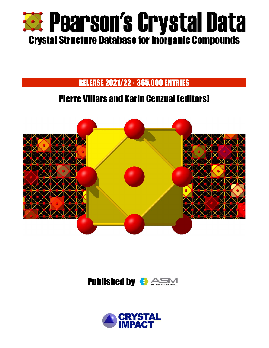

## RELEASE 2021/22 · 365,000 ENTRIES

# Pierre Villars and Karin Cenzual (editors)